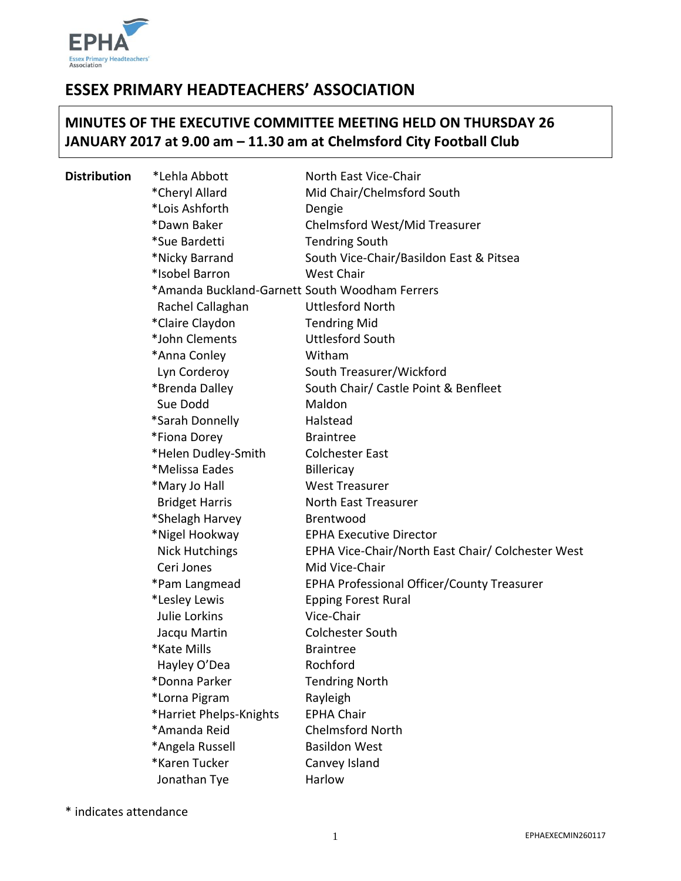

# **ESSEX PRIMARY HEADTEACHERS' ASSOCIATION**

# **MINUTES OF THE EXECUTIVE COMMITTEE MEETING HELD ON THURSDAY 26 JANUARY 2017 at 9.00 am – 11.30 am at Chelmsford City Football Club**

**Distribution** \*Lehla Abbott North East Vice-Chair \*Cheryl Allard Mid Chair/Chelmsford South \*Lois Ashforth Dengie \*Dawn Baker Chelmsford West/Mid Treasurer \*Sue Bardetti Tendring South \*Nicky Barrand South Vice-Chair/Basildon East & Pitsea \*Isobel Barron West Chair \*Amanda Buckland-Garnett South Woodham Ferrers Rachel Callaghan Uttlesford North \*Claire Claydon Tendring Mid \*John Clements Uttlesford South \*Anna Conley Witham Lyn Corderoy South Treasurer/Wickford \*Brenda Dalley South Chair/ Castle Point & Benfleet Sue Dodd Maldon \*Sarah Donnelly Halstead \*Fiona Dorey Braintree \*Helen Dudley-Smith Colchester East \*Melissa Eades Billericay \*Mary Jo Hall West Treasurer Bridget Harris North East Treasurer \*Shelagh Harvey Brentwood \*Nigel Hookway EPHA Executive Director Nick Hutchings EPHA Vice-Chair/North East Chair/ Colchester West Ceri Jones Mid Vice-Chair \*Pam Langmead EPHA Professional Officer/County Treasurer \*Lesley Lewis Epping Forest Rural Julie Lorkins Vice-Chair Jacqu Martin Colchester South \*Kate Mills Braintree Hayley O'Dea Rochford \*Donna Parker Tendring North \*Lorna Pigram Rayleigh \*Harriet Phelps-Knights EPHA Chair \*Amanda Reid Chelmsford North \*Angela Russell Basildon West \*Karen Tucker Canvey Island Jonathan Tye Harlow

\* indicates attendance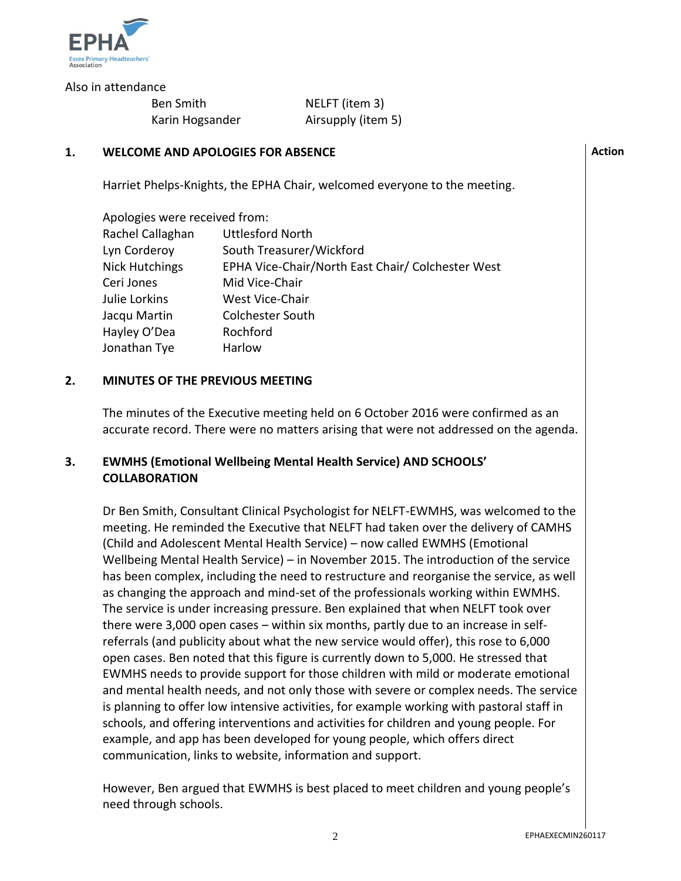

Also in attendance

Ben Smith NELFT (item 3) Karin Hogsander **Airsupply (item 5)** 

# **1. WELCOME AND APOLOGIES FOR ABSENCE**

Harriet Phelps-Knights, the EPHA Chair, welcomed everyone to the meeting.

| Apologies were received from: |                                                   |
|-------------------------------|---------------------------------------------------|
| Rachel Callaghan              | <b>Uttlesford North</b>                           |
| Lyn Corderoy                  | South Treasurer/Wickford                          |
| <b>Nick Hutchings</b>         | EPHA Vice-Chair/North East Chair/ Colchester West |
| Ceri Jones                    | Mid Vice-Chair                                    |
| Julie Lorkins                 | West Vice-Chair                                   |
| Jacqu Martin                  | <b>Colchester South</b>                           |
| Hayley O'Dea                  | Rochford                                          |
| Jonathan Tye                  | Harlow                                            |

# **2. MINUTES OF THE PREVIOUS MEETING**

The minutes of the Executive meeting held on 6 October 2016 were confirmed as an accurate record. There were no matters arising that were not addressed on the agenda.

# **3. EWMHS (Emotional Wellbeing Mental Health Service) AND SCHOOLS' COLLABORATION**

Dr Ben Smith, Consultant Clinical Psychologist for NELFT-EWMHS, was welcomed to the meeting. He reminded the Executive that NELFT had taken over the delivery of CAMHS (Child and Adolescent Mental Health Service) – now called EWMHS (Emotional Wellbeing Mental Health Service) – in November 2015. The introduction of the service has been complex, including the need to restructure and reorganise the service, as well as changing the approach and mind-set of the professionals working within EWMHS. The service is under increasing pressure. Ben explained that when NELFT took over there were 3,000 open cases – within six months, partly due to an increase in selfreferrals (and publicity about what the new service would offer), this rose to 6,000 open cases. Ben noted that this figure is currently down to 5,000. He stressed that EWMHS needs to provide support for those children with mild or moderate emotional and mental health needs, and not only those with severe or complex needs. The service is planning to offer low intensive activities, for example working with pastoral staff in schools, and offering interventions and activities for children and young people. For example, and app has been developed for young people, which offers direct communication, links to website, information and support.

However, Ben argued that EWMHS is best placed to meet children and young people's need through schools.

**Action**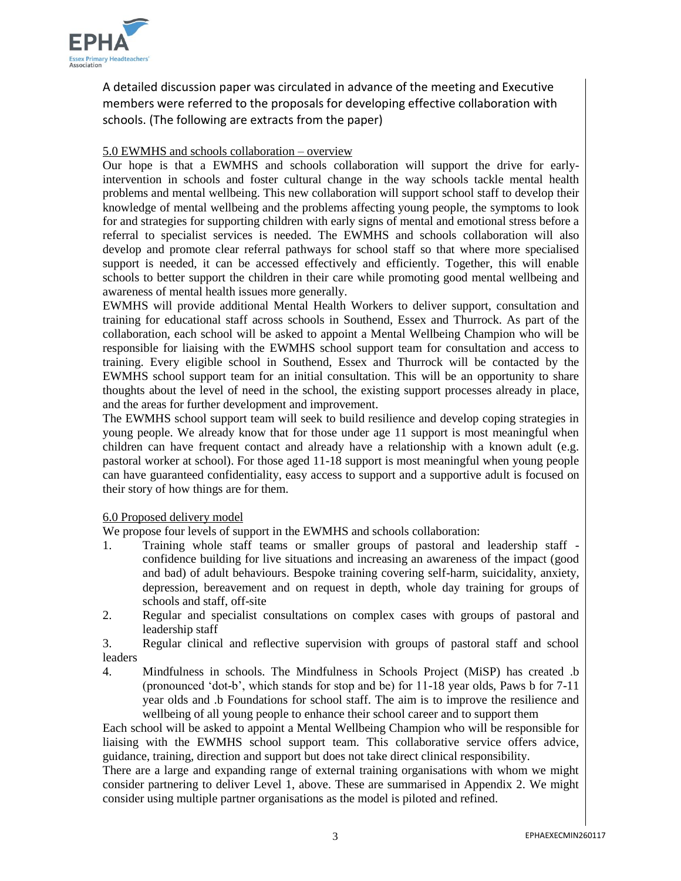

A detailed discussion paper was circulated in advance of the meeting and Executive members were referred to the proposals for developing effective collaboration with schools. (The following are extracts from the paper)

### 5.0 EWMHS and schools collaboration – overview

Our hope is that a EWMHS and schools collaboration will support the drive for earlyintervention in schools and foster cultural change in the way schools tackle mental health problems and mental wellbeing. This new collaboration will support school staff to develop their knowledge of mental wellbeing and the problems affecting young people, the symptoms to look for and strategies for supporting children with early signs of mental and emotional stress before a referral to specialist services is needed. The EWMHS and schools collaboration will also develop and promote clear referral pathways for school staff so that where more specialised support is needed, it can be accessed effectively and efficiently. Together, this will enable schools to better support the children in their care while promoting good mental wellbeing and awareness of mental health issues more generally.

EWMHS will provide additional Mental Health Workers to deliver support, consultation and training for educational staff across schools in Southend, Essex and Thurrock. As part of the collaboration, each school will be asked to appoint a Mental Wellbeing Champion who will be responsible for liaising with the EWMHS school support team for consultation and access to training. Every eligible school in Southend, Essex and Thurrock will be contacted by the EWMHS school support team for an initial consultation. This will be an opportunity to share thoughts about the level of need in the school, the existing support processes already in place, and the areas for further development and improvement.

The EWMHS school support team will seek to build resilience and develop coping strategies in young people. We already know that for those under age 11 support is most meaningful when children can have frequent contact and already have a relationship with a known adult (e.g. pastoral worker at school). For those aged 11-18 support is most meaningful when young people can have guaranteed confidentiality, easy access to support and a supportive adult is focused on their story of how things are for them.

#### 6.0 Proposed delivery model

We propose four levels of support in the EWMHS and schools collaboration:

- 1. Training whole staff teams or smaller groups of pastoral and leadership staff confidence building for live situations and increasing an awareness of the impact (good and bad) of adult behaviours. Bespoke training covering self-harm, suicidality, anxiety, depression, bereavement and on request in depth, whole day training for groups of schools and staff, off-site
- 2. Regular and specialist consultations on complex cases with groups of pastoral and leadership staff

3. Regular clinical and reflective supervision with groups of pastoral staff and school leaders

4. Mindfulness in schools. The Mindfulness in Schools Project (MiSP) has created .b (pronounced 'dot-b', which stands for stop and be) for 11-18 year olds, Paws b for 7-11 year olds and .b Foundations for school staff. The aim is to improve the resilience and wellbeing of all young people to enhance their school career and to support them

Each school will be asked to appoint a Mental Wellbeing Champion who will be responsible for liaising with the EWMHS school support team. This collaborative service offers advice, guidance, training, direction and support but does not take direct clinical responsibility.

There are a large and expanding range of external training organisations with whom we might consider partnering to deliver Level 1, above. These are summarised in Appendix 2. We might consider using multiple partner organisations as the model is piloted and refined.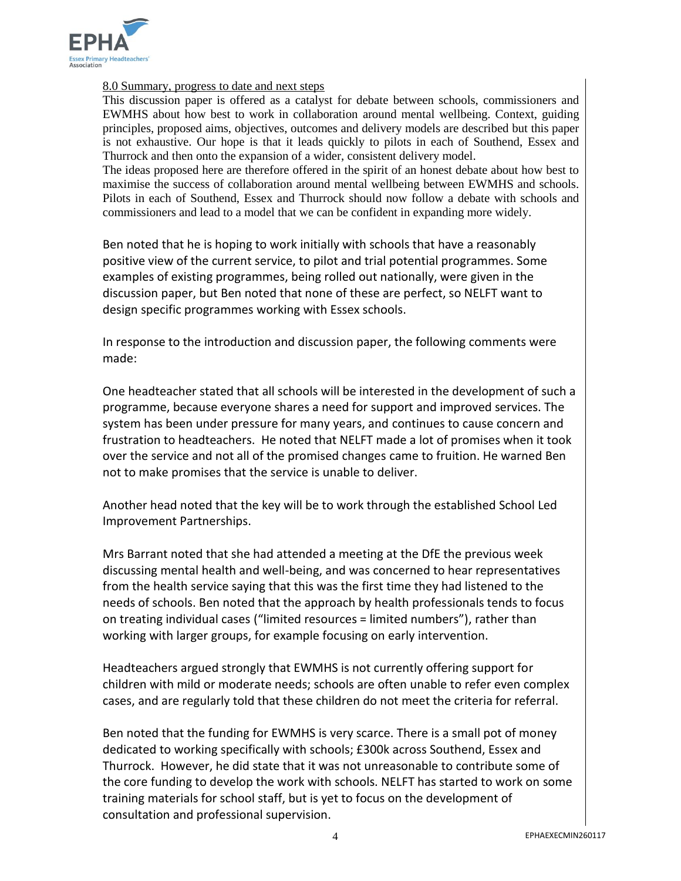

#### 8.0 Summary, progress to date and next steps

This discussion paper is offered as a catalyst for debate between schools, commissioners and EWMHS about how best to work in collaboration around mental wellbeing. Context, guiding principles, proposed aims, objectives, outcomes and delivery models are described but this paper is not exhaustive. Our hope is that it leads quickly to pilots in each of Southend, Essex and Thurrock and then onto the expansion of a wider, consistent delivery model.

The ideas proposed here are therefore offered in the spirit of an honest debate about how best to maximise the success of collaboration around mental wellbeing between EWMHS and schools. Pilots in each of Southend, Essex and Thurrock should now follow a debate with schools and commissioners and lead to a model that we can be confident in expanding more widely.

Ben noted that he is hoping to work initially with schools that have a reasonably positive view of the current service, to pilot and trial potential programmes. Some examples of existing programmes, being rolled out nationally, were given in the discussion paper, but Ben noted that none of these are perfect, so NELFT want to design specific programmes working with Essex schools.

In response to the introduction and discussion paper, the following comments were made:

One headteacher stated that all schools will be interested in the development of such a programme, because everyone shares a need for support and improved services. The system has been under pressure for many years, and continues to cause concern and frustration to headteachers. He noted that NELFT made a lot of promises when it took over the service and not all of the promised changes came to fruition. He warned Ben not to make promises that the service is unable to deliver.

Another head noted that the key will be to work through the established School Led Improvement Partnerships.

Mrs Barrant noted that she had attended a meeting at the DfE the previous week discussing mental health and well-being, and was concerned to hear representatives from the health service saying that this was the first time they had listened to the needs of schools. Ben noted that the approach by health professionals tends to focus on treating individual cases ("limited resources = limited numbers"), rather than working with larger groups, for example focusing on early intervention.

Headteachers argued strongly that EWMHS is not currently offering support for children with mild or moderate needs; schools are often unable to refer even complex cases, and are regularly told that these children do not meet the criteria for referral.

Ben noted that the funding for EWMHS is very scarce. There is a small pot of money dedicated to working specifically with schools; £300k across Southend, Essex and Thurrock. However, he did state that it was not unreasonable to contribute some of the core funding to develop the work with schools. NELFT has started to work on some training materials for school staff, but is yet to focus on the development of consultation and professional supervision.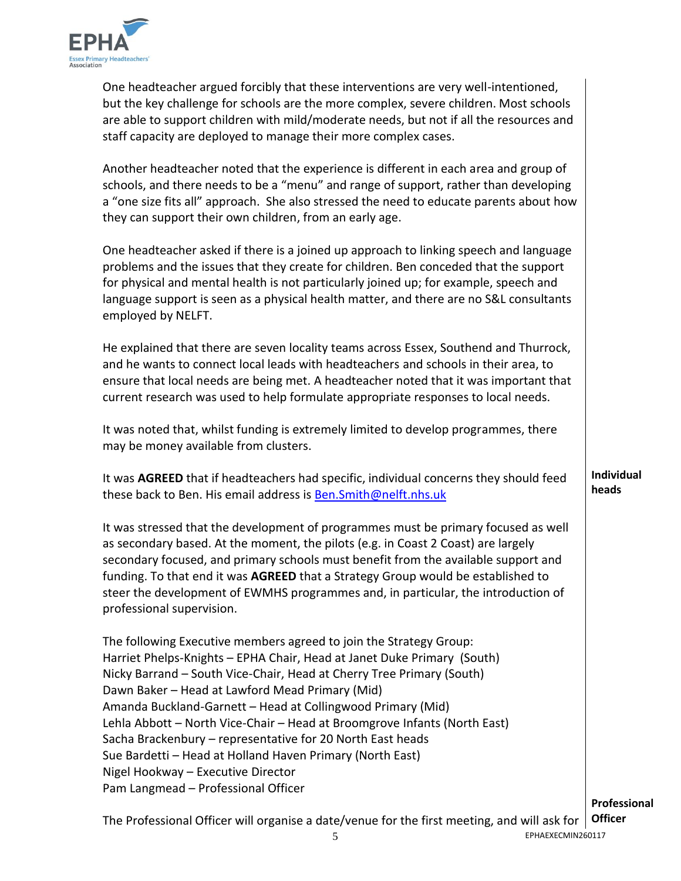

One headteacher argued forcibly that these interventions are very well-intentioned, but the key challenge for schools are the more complex, severe children. Most schools are able to support children with mild/moderate needs, but not if all the resources and staff capacity are deployed to manage their more complex cases.

Another headteacher noted that the experience is different in each area and group of schools, and there needs to be a "menu" and range of support, rather than developing a "one size fits all" approach. She also stressed the need to educate parents about how they can support their own children, from an early age.

One headteacher asked if there is a joined up approach to linking speech and language problems and the issues that they create for children. Ben conceded that the support for physical and mental health is not particularly joined up; for example, speech and language support is seen as a physical health matter, and there are no S&L consultants employed by NELFT.

He explained that there are seven locality teams across Essex, Southend and Thurrock, and he wants to connect local leads with headteachers and schools in their area, to ensure that local needs are being met. A headteacher noted that it was important that current research was used to help formulate appropriate responses to local needs.

It was noted that, whilst funding is extremely limited to develop programmes, there may be money available from clusters.

It was **AGREED** that if headteachers had specific, individual concerns they should feed these back to Ben. His email address is Ben. Smith@nelft.nhs.uk **Individual heads**

It was stressed that the development of programmes must be primary focused as well as secondary based. At the moment, the pilots (e.g. in Coast 2 Coast) are largely secondary focused, and primary schools must benefit from the available support and funding. To that end it was **AGREED** that a Strategy Group would be established to steer the development of EWMHS programmes and, in particular, the introduction of professional supervision.

The following Executive members agreed to join the Strategy Group: Harriet Phelps-Knights – EPHA Chair, Head at Janet Duke Primary (South) Nicky Barrand – South Vice-Chair, Head at Cherry Tree Primary (South) Dawn Baker – Head at Lawford Mead Primary (Mid) Amanda Buckland-Garnett – Head at Collingwood Primary (Mid) Lehla Abbott – North Vice-Chair – Head at Broomgrove Infants (North East) Sacha Brackenbury – representative for 20 North East heads Sue Bardetti – Head at Holland Haven Primary (North East) Nigel Hookway – Executive Director Pam Langmead – Professional Officer

# **Professional**

The Professional Officer will organise a date/venue for the first meeting, and will ask for **Officer**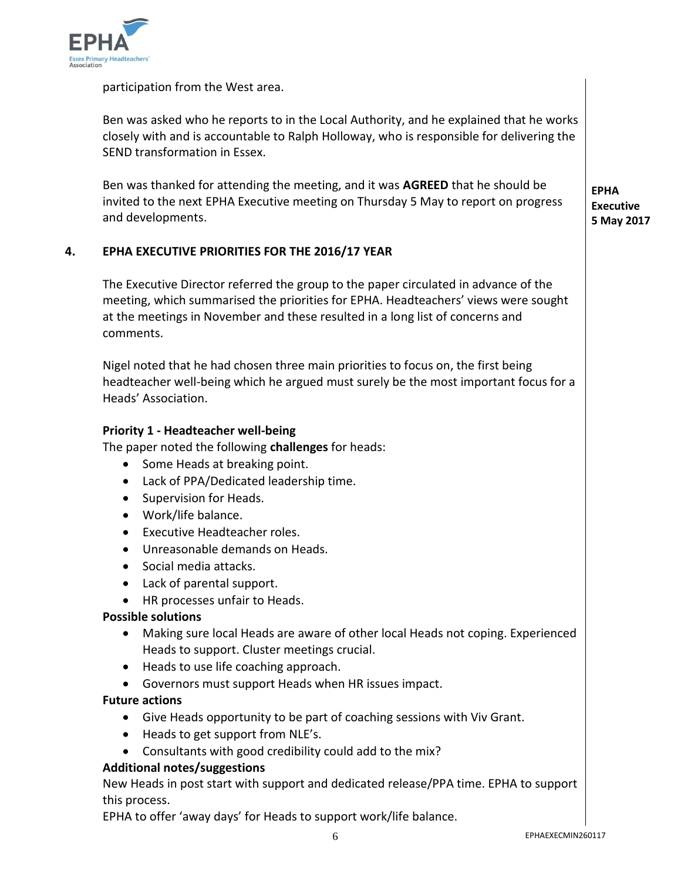

participation from the West area.

Ben was asked who he reports to in the Local Authority, and he explained that he works closely with and is accountable to Ralph Holloway, who is responsible for delivering the SEND transformation in Essex.

Ben was thanked for attending the meeting, and it was **AGREED** that he should be invited to the next EPHA Executive meeting on Thursday 5 May to report on progress and developments.

# **4. EPHA EXECUTIVE PRIORITIES FOR THE 2016/17 YEAR**

The Executive Director referred the group to the paper circulated in advance of the meeting, which summarised the priorities for EPHA. Headteachers' views were sought at the meetings in November and these resulted in a long list of concerns and comments.

Nigel noted that he had chosen three main priorities to focus on, the first being headteacher well-being which he argued must surely be the most important focus for a Heads' Association.

### **Priority 1 - Headteacher well-being**

The paper noted the following **challenges** for heads:

- Some Heads at breaking point.
- Lack of PPA/Dedicated leadership time.
- Supervision for Heads.
- Work/life balance.
- Executive Headteacher roles.
- Unreasonable demands on Heads.
- Social media attacks.
- Lack of parental support.
- HR processes unfair to Heads.

#### **Possible solutions**

- Making sure local Heads are aware of other local Heads not coping. Experienced Heads to support. Cluster meetings crucial.
- Heads to use life coaching approach.
- Governors must support Heads when HR issues impact.

#### **Future actions**

- Give Heads opportunity to be part of coaching sessions with Viv Grant.
- Heads to get support from NLE's.
- Consultants with good credibility could add to the mix?

#### **Additional notes/suggestions**

New Heads in post start with support and dedicated release/PPA time. EPHA to support this process.

EPHA to offer 'away days' for Heads to support work/life balance.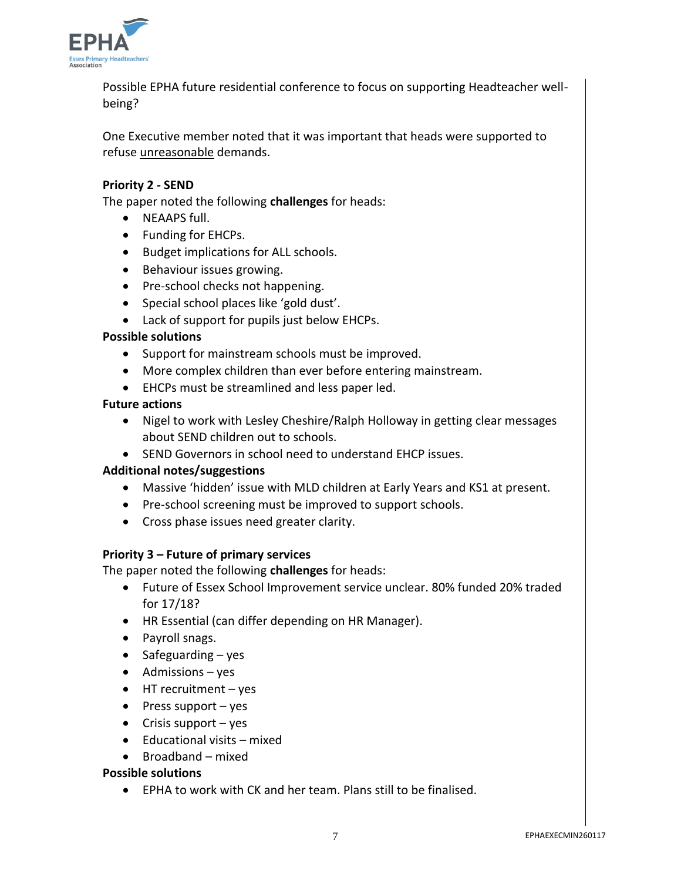

Possible EPHA future residential conference to focus on supporting Headteacher wellbeing?

One Executive member noted that it was important that heads were supported to refuse unreasonable demands.

# **Priority 2 - SEND**

The paper noted the following **challenges** for heads:

- NEAAPS full.
- Funding for EHCPs.
- Budget implications for ALL schools.
- Behaviour issues growing.
- Pre-school checks not happening.
- Special school places like 'gold dust'.
- Lack of support for pupils just below EHCPs.

# **Possible solutions**

- Support for mainstream schools must be improved.
- More complex children than ever before entering mainstream.
- EHCPs must be streamlined and less paper led.

# **Future actions**

- Nigel to work with Lesley Cheshire/Ralph Holloway in getting clear messages about SEND children out to schools.
- SEND Governors in school need to understand EHCP issues.

# **Additional notes/suggestions**

- Massive 'hidden' issue with MLD children at Early Years and KS1 at present.
- Pre-school screening must be improved to support schools.
- Cross phase issues need greater clarity.

# **Priority 3 – Future of primary services**

The paper noted the following **challenges** for heads:

- Future of Essex School Improvement service unclear. 80% funded 20% traded for 17/18?
- HR Essential (can differ depending on HR Manager).
- Payroll snags.
- Safeguarding  $-$  yes
- $\bullet$  Admissions yes
- $\bullet$  HT recruitment yes
- $\bullet$  Press support yes
- $\bullet$  Crisis support yes
- $\bullet$  Educational visits mixed
- $\bullet$  Broadband mixed

# **Possible solutions**

EPHA to work with CK and her team. Plans still to be finalised.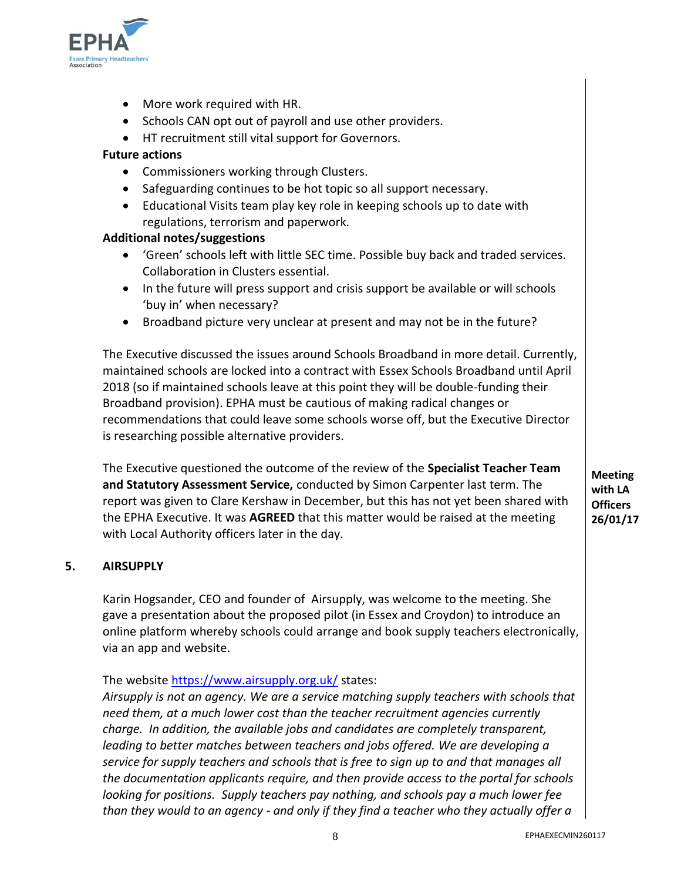

- More work required with HR.
- Schools CAN opt out of payroll and use other providers.
- HT recruitment still vital support for Governors.

# **Future actions**

- Commissioners working through Clusters.
- Safeguarding continues to be hot topic so all support necessary.
- Educational Visits team play key role in keeping schools up to date with regulations, terrorism and paperwork.

#### **Additional notes/suggestions**

- 'Green' schools left with little SEC time. Possible buy back and traded services. Collaboration in Clusters essential.
- In the future will press support and crisis support be available or will schools 'buy in' when necessary?
- Broadband picture very unclear at present and may not be in the future?

The Executive discussed the issues around Schools Broadband in more detail. Currently, maintained schools are locked into a contract with Essex Schools Broadband until April 2018 (so if maintained schools leave at this point they will be double-funding their Broadband provision). EPHA must be cautious of making radical changes or recommendations that could leave some schools worse off, but the Executive Director is researching possible alternative providers.

The Executive questioned the outcome of the review of the **Specialist Teacher Team and Statutory Assessment Service,** conducted by Simon Carpenter last term. The report was given to Clare Kershaw in December, but this has not yet been shared with the EPHA Executive. It was **AGREED** that this matter would be raised at the meeting with Local Authority officers later in the day.

#### **5. AIRSUPPLY**

Karin Hogsander, CEO and founder of Airsupply, was welcome to the meeting. She gave a presentation about the proposed pilot (in Essex and Croydon) to introduce an online platform whereby schools could arrange and book supply teachers electronically, via an app and website.

#### The website<https://www.airsupply.org.uk/> states:

*Airsupply is not an agency. We are a service matching supply teachers with schools that need them, at a much lower cost than the teacher recruitment agencies currently charge. In addition, the available jobs and candidates are completely transparent, leading to better matches between teachers and jobs offered. We are developing a service for supply teachers and schools that is free to sign up to and that manages all the documentation applicants require, and then provide access to the portal for schools looking for positions. Supply teachers pay nothing, and schools pay a much lower fee than they would to an agency - and only if they find a teacher who they actually offer a* 

**Meeting with LA Officers 26/01/17**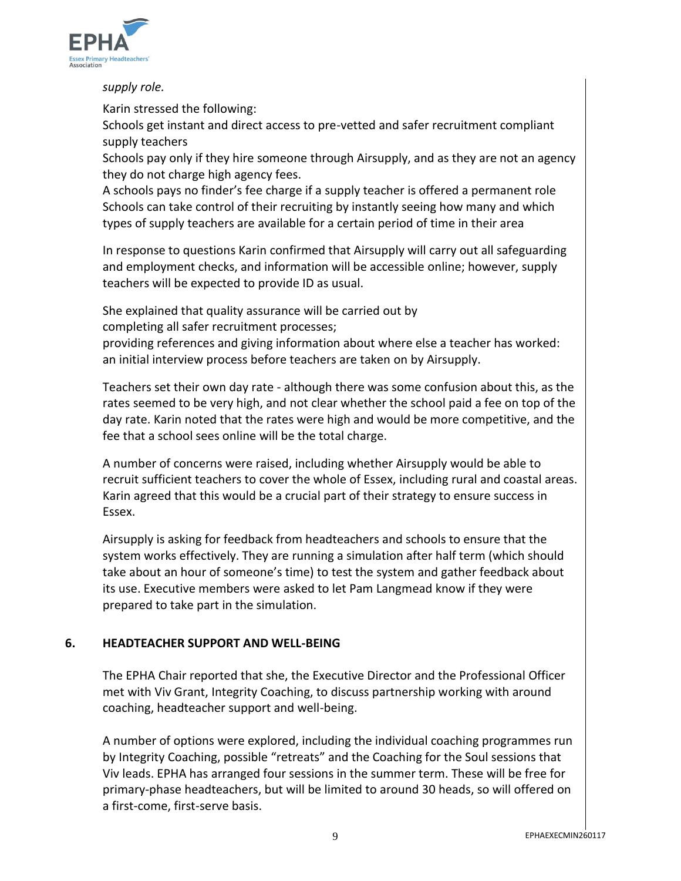

# *supply role.*

Karin stressed the following:

Schools get instant and direct access to pre-vetted and safer recruitment compliant supply teachers

Schools pay only if they hire someone through Airsupply, and as they are not an agency they do not charge high agency fees.

A schools pays no finder's fee charge if a supply teacher is offered a permanent role Schools can take control of their recruiting by instantly seeing how many and which types of supply teachers are available for a certain period of time in their area

In response to questions Karin confirmed that Airsupply will carry out all safeguarding and employment checks, and information will be accessible online; however, supply teachers will be expected to provide ID as usual.

She explained that quality assurance will be carried out by completing all safer recruitment processes; providing references and giving information about where else a teacher has worked: an initial interview process before teachers are taken on by Airsupply.

Teachers set their own day rate - although there was some confusion about this, as the rates seemed to be very high, and not clear whether the school paid a fee on top of the day rate. Karin noted that the rates were high and would be more competitive, and the fee that a school sees online will be the total charge.

A number of concerns were raised, including whether Airsupply would be able to recruit sufficient teachers to cover the whole of Essex, including rural and coastal areas. Karin agreed that this would be a crucial part of their strategy to ensure success in Essex.

Airsupply is asking for feedback from headteachers and schools to ensure that the system works effectively. They are running a simulation after half term (which should take about an hour of someone's time) to test the system and gather feedback about its use. Executive members were asked to let Pam Langmead know if they were prepared to take part in the simulation.

# **6. HEADTEACHER SUPPORT AND WELL-BEING**

The EPHA Chair reported that she, the Executive Director and the Professional Officer met with Viv Grant, Integrity Coaching, to discuss partnership working with around coaching, headteacher support and well-being.

A number of options were explored, including the individual coaching programmes run by Integrity Coaching, possible "retreats" and the Coaching for the Soul sessions that Viv leads. EPHA has arranged four sessions in the summer term. These will be free for primary-phase headteachers, but will be limited to around 30 heads, so will offered on a first-come, first-serve basis.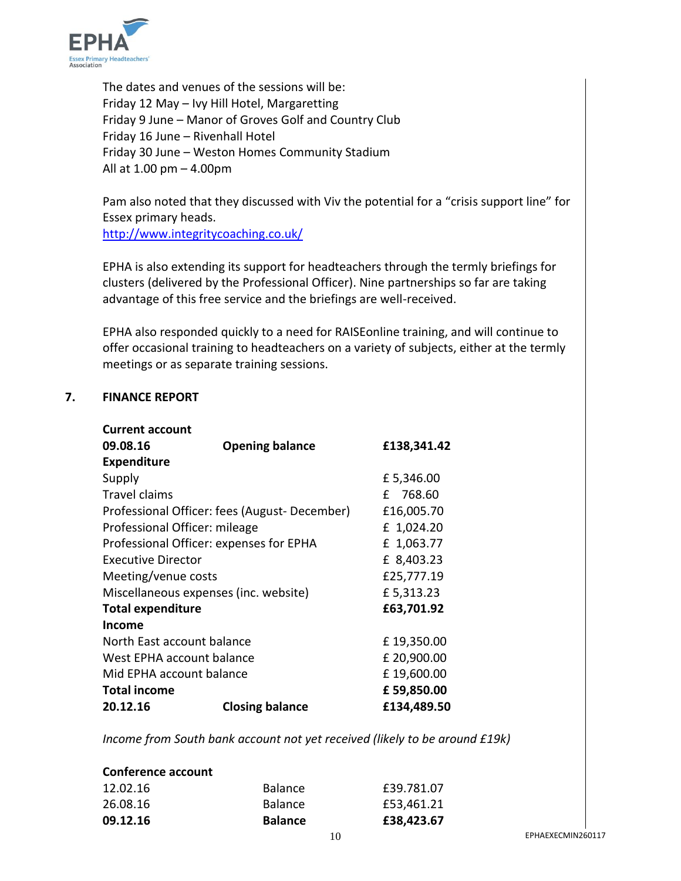

The dates and venues of the sessions will be: Friday 12 May – Ivy Hill Hotel, Margaretting Friday 9 June – Manor of Groves Golf and Country Club Friday 16 June – Rivenhall Hotel Friday 30 June – Weston Homes Community Stadium All at 1.00 pm – 4.00pm

Pam also noted that they discussed with Viv the potential for a "crisis support line" for Essex primary heads. <http://www.integritycoaching.co.uk/>

EPHA is also extending its support for headteachers through the termly briefings for clusters (delivered by the Professional Officer). Nine partnerships so far are taking advantage of this free service and the briefings are well-received.

EPHA also responded quickly to a need for RAISEonline training, and will continue to offer occasional training to headteachers on a variety of subjects, either at the termly meetings or as separate training sessions.

# **7. FINANCE REPORT**

| <b>Current account</b>                       |                        |              |
|----------------------------------------------|------------------------|--------------|
| 09.08.16                                     | <b>Opening balance</b> | £138,341.42  |
| <b>Expenditure</b>                           |                        |              |
| Supply                                       |                        | £5,346.00    |
| <b>Travel claims</b>                         |                        | 768.60<br>f. |
| Professional Officer: fees (August-December) | £16,005.70             |              |
| Professional Officer: mileage                | £ 1,024.20             |              |
| Professional Officer: expenses for EPHA      | £ 1,063.77             |              |
| Executive Director                           | £ 8,403.23             |              |
| Meeting/venue costs                          | £25,777.19             |              |
| Miscellaneous expenses (inc. website)        | £5,313.23              |              |
| <b>Total expenditure</b>                     | £63,701.92             |              |
| Income                                       |                        |              |
| North East account balance                   | £19,350.00             |              |
| West EPHA account balance                    |                        | £ 20,900.00  |
| Mid EPHA account balance                     | £19,600.00             |              |
| <b>Total income</b>                          |                        | £59,850.00   |
| 20.12.16                                     | <b>Closing balance</b> | £134,489.50  |

*Income from South bank account not yet received (likely to be around £19k)*

| Conference account |                |            |  |
|--------------------|----------------|------------|--|
| 12.02.16           | <b>Balance</b> | £39.781.07 |  |
| 26.08.16           | <b>Balance</b> | £53,461.21 |  |
| 09.12.16           | <b>Balance</b> | £38,423.67 |  |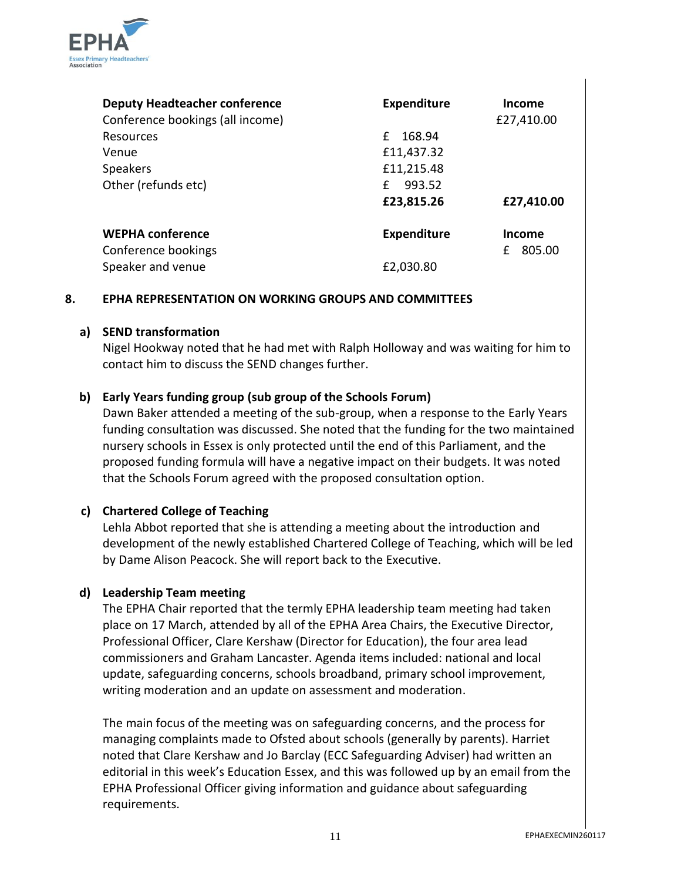

| <b>Deputy Headteacher conference</b><br>Conference bookings (all income) | <b>Expenditure</b> | Income<br>£27,410.00 |
|--------------------------------------------------------------------------|--------------------|----------------------|
| Resources                                                                | 168.94<br>f        |                      |
| Venue                                                                    | £11,437.32         |                      |
| <b>Speakers</b>                                                          | £11,215.48         |                      |
| Other (refunds etc)                                                      | 993.52<br>f        |                      |
|                                                                          | £23,815.26         | £27,410.00           |
| <b>WEPHA conference</b>                                                  | <b>Expenditure</b> | Income               |
| Conference bookings                                                      |                    | 805.00<br>£          |
| Speaker and venue                                                        | £2,030.80          |                      |

#### **8. EPHA REPRESENTATION ON WORKING GROUPS AND COMMITTEES**

# **a) SEND transformation**

Nigel Hookway noted that he had met with Ralph Holloway and was waiting for him to contact him to discuss the SEND changes further.

# **b) Early Years funding group (sub group of the Schools Forum)**

Dawn Baker attended a meeting of the sub-group, when a response to the Early Years funding consultation was discussed. She noted that the funding for the two maintained nursery schools in Essex is only protected until the end of this Parliament, and the proposed funding formula will have a negative impact on their budgets. It was noted that the Schools Forum agreed with the proposed consultation option.

# **c) Chartered College of Teaching**

Lehla Abbot reported that she is attending a meeting about the introduction and development of the newly established Chartered College of Teaching, which will be led by Dame Alison Peacock. She will report back to the Executive.

# **d) Leadership Team meeting**

The EPHA Chair reported that the termly EPHA leadership team meeting had taken place on 17 March, attended by all of the EPHA Area Chairs, the Executive Director, Professional Officer, Clare Kershaw (Director for Education), the four area lead commissioners and Graham Lancaster. Agenda items included: national and local update, safeguarding concerns, schools broadband, primary school improvement, writing moderation and an update on assessment and moderation.

The main focus of the meeting was on safeguarding concerns, and the process for managing complaints made to Ofsted about schools (generally by parents). Harriet noted that Clare Kershaw and Jo Barclay (ECC Safeguarding Adviser) had written an editorial in this week's Education Essex, and this was followed up by an email from the EPHA Professional Officer giving information and guidance about safeguarding requirements.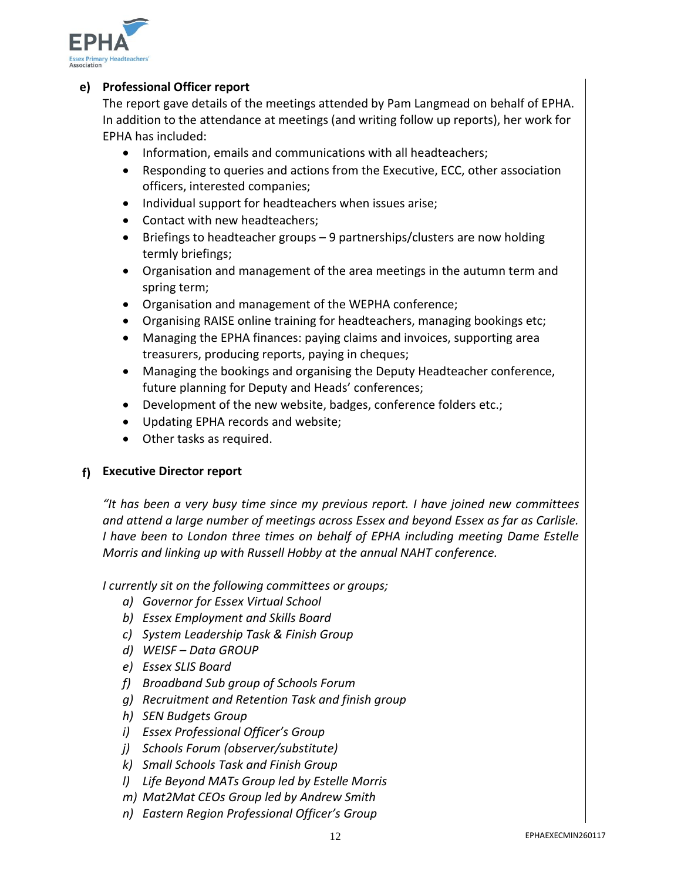

# **e) Professional Officer report**

The report gave details of the meetings attended by Pam Langmead on behalf of EPHA. In addition to the attendance at meetings (and writing follow up reports), her work for EPHA has included:

- Information, emails and communications with all headteachers;
- Responding to queries and actions from the Executive, ECC, other association officers, interested companies;
- Individual support for headteachers when issues arise;
- Contact with new headteachers;
- Briefings to headteacher groups 9 partnerships/clusters are now holding termly briefings;
- Organisation and management of the area meetings in the autumn term and spring term;
- Organisation and management of the WEPHA conference;
- Organising RAISE online training for headteachers, managing bookings etc;
- Managing the EPHA finances: paying claims and invoices, supporting area treasurers, producing reports, paying in cheques;
- Managing the bookings and organising the Deputy Headteacher conference, future planning for Deputy and Heads' conferences;
- Development of the new website, badges, conference folders etc.;
- Updating EPHA records and website;
- Other tasks as required.

# **f) Executive Director report**

*"It has been a very busy time since my previous report. I have joined new committees and attend a large number of meetings across Essex and beyond Essex as far as Carlisle. I have been to London three times on behalf of EPHA including meeting Dame Estelle Morris and linking up with Russell Hobby at the annual NAHT conference.*

*I currently sit on the following committees or groups;*

- *a) Governor for Essex Virtual School*
- *b) Essex Employment and Skills Board*
- *c) System Leadership Task & Finish Group*
- *d) WEISF – Data GROUP*
- *e) Essex SLIS Board*
- *f) Broadband Sub group of Schools Forum*
- *g) Recruitment and Retention Task and finish group*
- *h) SEN Budgets Group*
- *i) Essex Professional Officer's Group*
- *j) Schools Forum (observer/substitute)*
- *k) Small Schools Task and Finish Group*
- *l) Life Beyond MATs Group led by Estelle Morris*
- *m) Mat2Mat CEOs Group led by Andrew Smith*
- *n) Eastern Region Professional Officer's Group*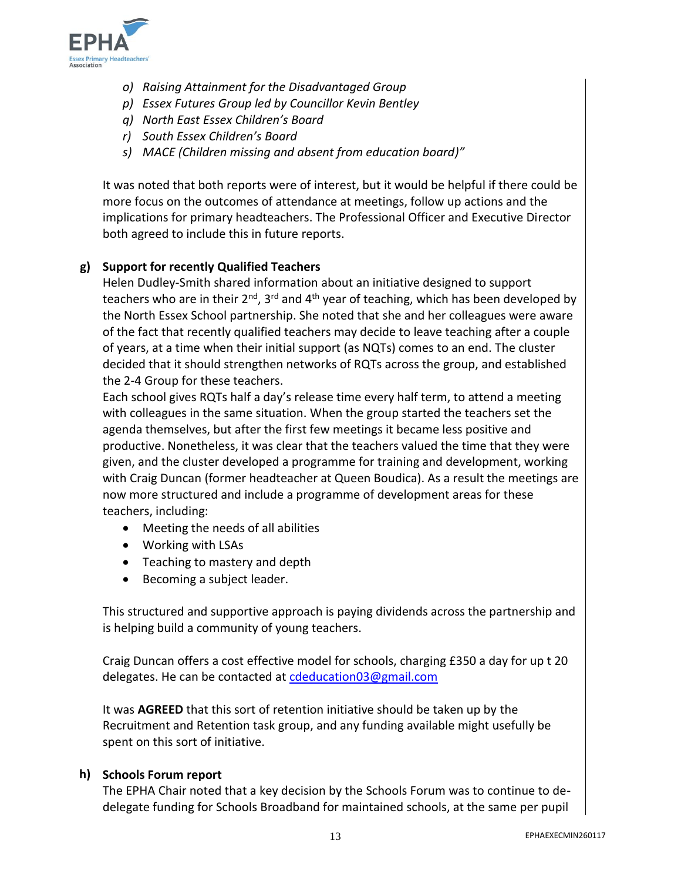

- *o) Raising Attainment for the Disadvantaged Group*
- *p) Essex Futures Group led by Councillor Kevin Bentley*
- *q) North East Essex Children's Board*
- *r) South Essex Children's Board*
- *s) MACE (Children missing and absent from education board)"*

It was noted that both reports were of interest, but it would be helpful if there could be more focus on the outcomes of attendance at meetings, follow up actions and the implications for primary headteachers. The Professional Officer and Executive Director both agreed to include this in future reports.

# **g) Support for recently Qualified Teachers**

Helen Dudley-Smith shared information about an initiative designed to support teachers who are in their  $2^{nd}$ ,  $3^{rd}$  and  $4^{th}$  year of teaching, which has been developed by the North Essex School partnership. She noted that she and her colleagues were aware of the fact that recently qualified teachers may decide to leave teaching after a couple of years, at a time when their initial support (as NQTs) comes to an end. The cluster decided that it should strengthen networks of RQTs across the group, and established the 2-4 Group for these teachers.

Each school gives RQTs half a day's release time every half term, to attend a meeting with colleagues in the same situation. When the group started the teachers set the agenda themselves, but after the first few meetings it became less positive and productive. Nonetheless, it was clear that the teachers valued the time that they were given, and the cluster developed a programme for training and development, working with Craig Duncan (former headteacher at Queen Boudica). As a result the meetings are now more structured and include a programme of development areas for these teachers, including:

- Meeting the needs of all abilities
- Working with LSAs
- Teaching to mastery and depth
- Becoming a subject leader.

This structured and supportive approach is paying dividends across the partnership and is helping build a community of young teachers.

Craig Duncan offers a cost effective model for schools, charging £350 a day for up t 20 delegates. He can be contacted at [cdeducation03@gmail.com](mailto:cdeducation03@gmail.com)

It was **AGREED** that this sort of retention initiative should be taken up by the Recruitment and Retention task group, and any funding available might usefully be spent on this sort of initiative.

# **h) Schools Forum report**

The EPHA Chair noted that a key decision by the Schools Forum was to continue to dedelegate funding for Schools Broadband for maintained schools, at the same per pupil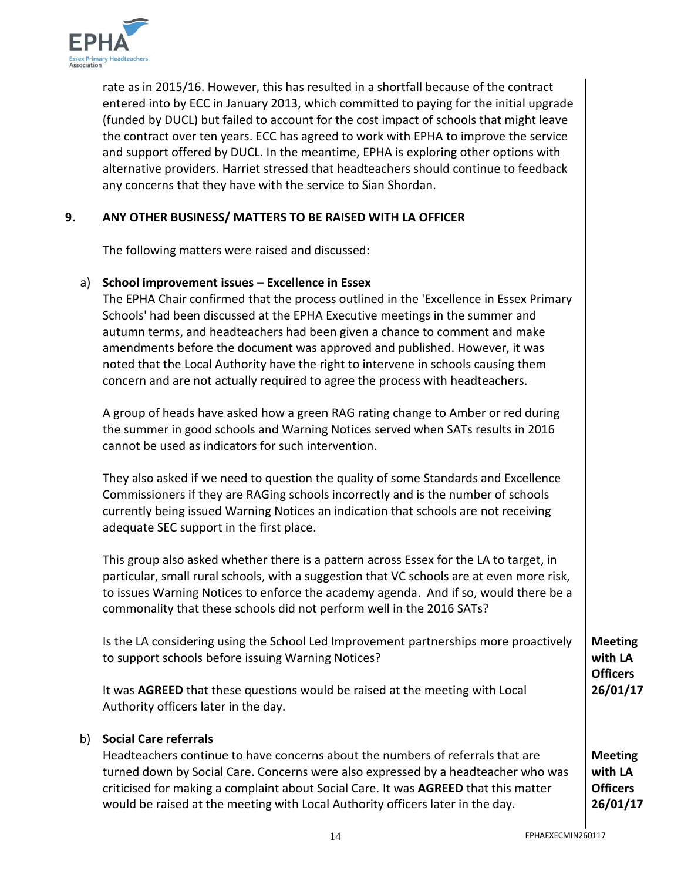

rate as in 2015/16. However, this has resulted in a shortfall because of the contract entered into by ECC in January 2013, which committed to paying for the initial upgrade (funded by DUCL) but failed to account for the cost impact of schools that might leave the contract over ten years. ECC has agreed to work with EPHA to improve the service and support offered by DUCL. In the meantime, EPHA is exploring other options with alternative providers. Harriet stressed that headteachers should continue to feedback any concerns that they have with the service to Sian Shordan.

#### **9. ANY OTHER BUSINESS/ MATTERS TO BE RAISED WITH LA OFFICER**

The following matters were raised and discussed:

# a) **School improvement issues – Excellence in Essex**

The EPHA Chair confirmed that the process outlined in the 'Excellence in Essex Primary Schools' had been discussed at the EPHA Executive meetings in the summer and autumn terms, and headteachers had been given a chance to comment and make amendments before the document was approved and published. However, it was noted that the Local Authority have the right to intervene in schools causing them concern and are not actually required to agree the process with headteachers.

A group of heads have asked how a green RAG rating change to Amber or red during the summer in good schools and Warning Notices served when SATs results in 2016 cannot be used as indicators for such intervention.

They also asked if we need to question the quality of some Standards and Excellence Commissioners if they are RAGing schools incorrectly and is the number of schools currently being issued Warning Notices an indication that schools are not receiving adequate SEC support in the first place.

This group also asked whether there is a pattern across Essex for the LA to target, in particular, small rural schools, with a suggestion that VC schools are at even more risk, to issues Warning Notices to enforce the academy agenda. And if so, would there be a commonality that these schools did not perform well in the 2016 SATs?

Is the LA considering using the School Led Improvement partnerships more proactively to support schools before issuing Warning Notices?

It was **AGREED** that these questions would be raised at the meeting with Local Authority officers later in the day.

#### b) **Social Care referrals**

Headteachers continue to have concerns about the numbers of referrals that are turned down by Social Care. Concerns were also expressed by a headteacher who was criticised for making a complaint about Social Care. It was **AGREED** that this matter would be raised at the meeting with Local Authority officers later in the day.

**Meeting with LA Officers 26/01/17**

**Meeting with LA Officers 26/01/17**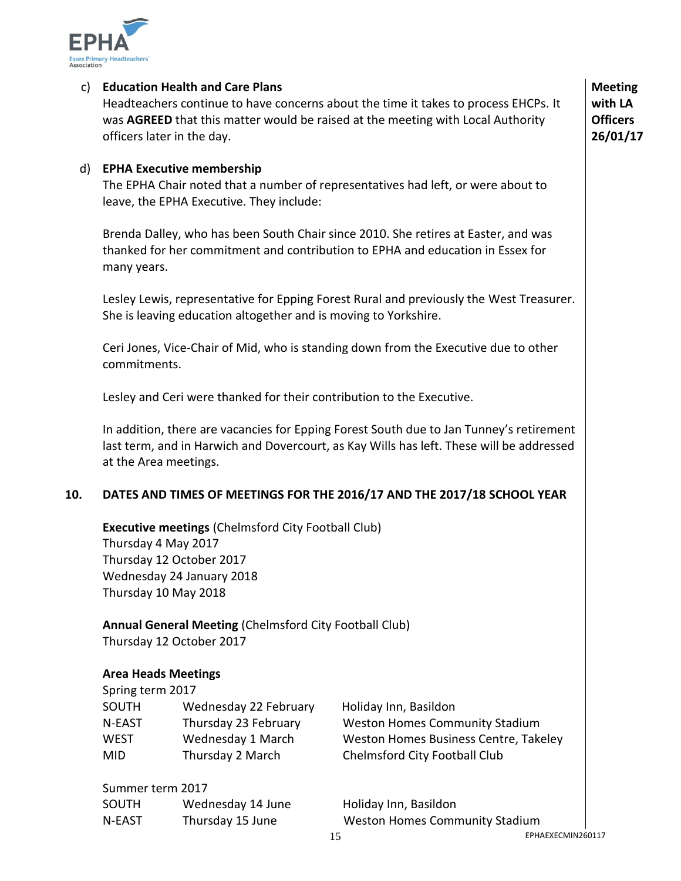

| c)  | <b>Education Health and Care Plans</b><br>Headteachers continue to have concerns about the time it takes to process EHCPs. It<br>was AGREED that this matter would be raised at the meeting with Local Authority<br>officers later in the day. |                                                                                        |                                                                                                                                                                                     | <b>Meeting</b><br>with LA<br><b>Officers</b><br>26/01/17 |
|-----|------------------------------------------------------------------------------------------------------------------------------------------------------------------------------------------------------------------------------------------------|----------------------------------------------------------------------------------------|-------------------------------------------------------------------------------------------------------------------------------------------------------------------------------------|----------------------------------------------------------|
| d)  | <b>EPHA Executive membership</b><br>The EPHA Chair noted that a number of representatives had left, or were about to<br>leave, the EPHA Executive. They include:                                                                               |                                                                                        |                                                                                                                                                                                     |                                                          |
|     | many years.                                                                                                                                                                                                                                    |                                                                                        | Brenda Dalley, who has been South Chair since 2010. She retires at Easter, and was<br>thanked for her commitment and contribution to EPHA and education in Essex for                |                                                          |
|     |                                                                                                                                                                                                                                                | She is leaving education altogether and is moving to Yorkshire.                        | Lesley Lewis, representative for Epping Forest Rural and previously the West Treasurer.                                                                                             |                                                          |
|     | Ceri Jones, Vice-Chair of Mid, who is standing down from the Executive due to other<br>commitments.                                                                                                                                            |                                                                                        |                                                                                                                                                                                     |                                                          |
|     | Lesley and Ceri were thanked for their contribution to the Executive.                                                                                                                                                                          |                                                                                        |                                                                                                                                                                                     |                                                          |
|     | at the Area meetings.                                                                                                                                                                                                                          |                                                                                        | In addition, there are vacancies for Epping Forest South due to Jan Tunney's retirement<br>last term, and in Harwich and Dovercourt, as Kay Wills has left. These will be addressed |                                                          |
| 10. |                                                                                                                                                                                                                                                |                                                                                        | DATES AND TIMES OF MEETINGS FOR THE 2016/17 AND THE 2017/18 SCHOOL YEAR                                                                                                             |                                                          |
|     | Thursday 4 May 2017<br>Thursday 12 October 2017<br>Thursday 10 May 2018                                                                                                                                                                        | <b>Executive meetings (Chelmsford City Football Club)</b><br>Wednesday 24 January 2018 |                                                                                                                                                                                     |                                                          |
|     | Thursday 12 October 2017                                                                                                                                                                                                                       | <b>Annual General Meeting (Chelmsford City Football Club)</b>                          |                                                                                                                                                                                     |                                                          |
|     | <b>Area Heads Meetings</b><br>Spring term 2017<br><b>SOUTH</b><br>N-EAST<br><b>WEST</b><br><b>MID</b>                                                                                                                                          | Wednesday 22 February<br>Thursday 23 February<br>Wednesday 1 March<br>Thursday 2 March | Holiday Inn, Basildon<br><b>Weston Homes Community Stadium</b><br>Weston Homes Business Centre, Takeley<br>Chelmsford City Football Club                                            |                                                          |
|     | Summer term 2017<br>SOUTH<br>N-EAST                                                                                                                                                                                                            | Wednesday 14 June<br>Thursday 15 June                                                  | Holiday Inn, Basildon<br><b>Weston Homes Community Stadium</b>                                                                                                                      |                                                          |

15 EPHAEXECMIN260117